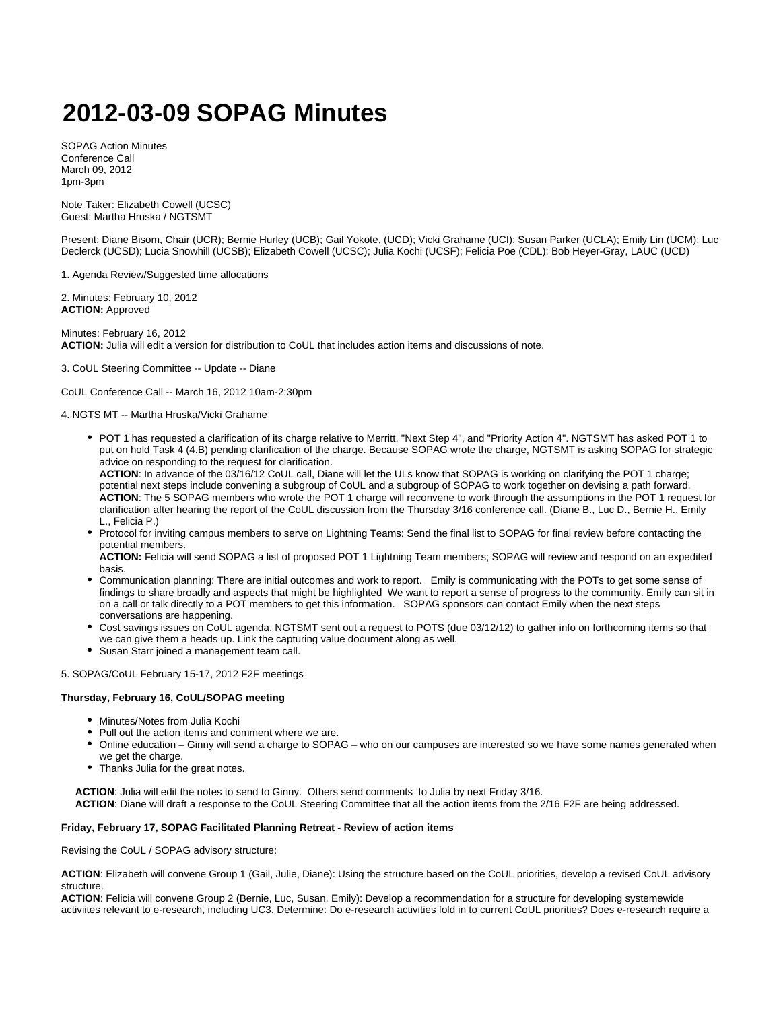# **2012-03-09 SOPAG Minutes**

SOPAG Action Minutes Conference Call March 09, 2012 1pm-3pm

Note Taker: Elizabeth Cowell (UCSC) Guest: Martha Hruska / NGTSMT

Present: Diane Bisom, Chair (UCR); Bernie Hurley (UCB); Gail Yokote, (UCD); Vicki Grahame (UCI); Susan Parker (UCLA); Emily Lin (UCM); Luc Declerck (UCSD); Lucia Snowhill (UCSB); Elizabeth Cowell (UCSC); Julia Kochi (UCSF); Felicia Poe (CDL); Bob Heyer-Gray, LAUC (UCD)

1. Agenda Review/Suggested time allocations

2. Minutes: February 10, 2012 **ACTION:** Approved

Minutes: February 16, 2012 **ACTION:** Julia will edit a version for distribution to CoUL that includes action items and discussions of note.

## 3. CoUL Steering Committee -- Update -- Diane

CoUL Conference Call -- March 16, 2012 10am-2:30pm

# 4. NGTS MT -- Martha Hruska/Vicki Grahame

POT 1 has requested a clarification of its charge relative to Merritt, "Next Step 4", and "Priority Action 4". NGTSMT has asked POT 1 to put on hold Task 4 (4.B) pending clarification of the charge. Because SOPAG wrote the charge, NGTSMT is asking SOPAG for strategic advice on responding to the request for clarification.

**ACTION**: In advance of the 03/16/12 CoUL call, Diane will let the ULs know that SOPAG is working on clarifying the POT 1 charge; potential next steps include convening a subgroup of CoUL and a subgroup of SOPAG to work together on devising a path forward. **ACTION**: The 5 SOPAG members who wrote the POT 1 charge will reconvene to work through the assumptions in the POT 1 request for clarification after hearing the report of the CoUL discussion from the Thursday 3/16 conference call. (Diane B., Luc D., Bernie H., Emily L., Felicia P.)

Protocol for inviting campus members to serve on Lightning Teams: Send the final list to SOPAG for final review before contacting the potential members.

**ACTION:** Felicia will send SOPAG a list of proposed POT 1 Lightning Team members; SOPAG will review and respond on an expedited basis.

- Communication planning: There are initial outcomes and work to report. Emily is communicating with the POTs to get some sense of findings to share broadly and aspects that might be highlighted We want to report a sense of progress to the community. Emily can sit in on a call or talk directly to a POT members to get this information. SOPAG sponsors can contact Emily when the next steps conversations are happening.
- Cost savings issues on CoUL agenda. NGTSMT sent out a request to POTS (due 03/12/12) to gather info on forthcoming items so that we can give them a heads up. Link the capturing value document along as well.
- Susan Starr joined a management team call.

5. SOPAG/CoUL February 15-17, 2012 F2F meetings

#### **Thursday, February 16, CoUL/SOPAG meeting**

- Minutes/Notes from Julia Kochi
- Pull out the action items and comment where we are.
- Online education Ginny will send a charge to SOPAG who on our campuses are interested so we have some names generated when we get the charge.
- Thanks Julia for the great notes.

 **ACTION**: Julia will edit the notes to send to Ginny. Others send comments to Julia by next Friday 3/16.  **ACTION**: Diane will draft a response to the CoUL Steering Committee that all the action items from the 2/16 F2F are being addressed.

#### **Friday, February 17, SOPAG Facilitated Planning Retreat - Review of action items**

Revising the CoUL / SOPAG advisory structure:

**ACTION**: Elizabeth will convene Group 1 (Gail, Julie, Diane): Using the structure based on the CoUL priorities, develop a revised CoUL advisory structure.

**ACTION**: Felicia will convene Group 2 (Bernie, Luc, Susan, Emily): Develop a recommendation for a structure for developing systemewide activiites relevant to e-research, including UC3. Determine: Do e-research activities fold in to current CoUL priorities? Does e-research require a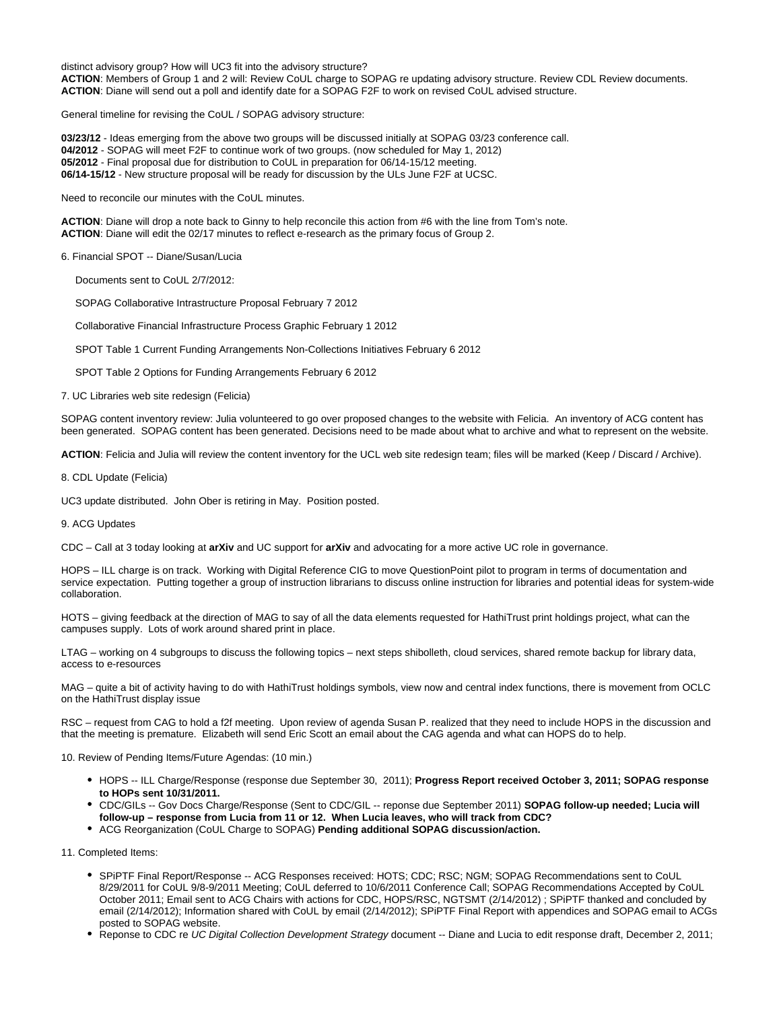distinct advisory group? How will UC3 fit into the advisory structure? **ACTION**: Members of Group 1 and 2 will: Review CoUL charge to SOPAG re updating advisory structure. Review CDL Review documents. **ACTION**: Diane will send out a poll and identify date for a SOPAG F2F to work on revised CoUL advised structure.

General timeline for revising the CoUL / SOPAG advisory structure:

**03/23/12** - Ideas emerging from the above two groups will be discussed initially at SOPAG 03/23 conference call. **04/2012** - SOPAG will meet F2F to continue work of two groups. (now scheduled for May 1, 2012) **05/2012** - Final proposal due for distribution to CoUL in preparation for 06/14-15/12 meeting. **06/14-15/12** - New structure proposal will be ready for discussion by the ULs June F2F at UCSC.

Need to reconcile our minutes with the CoUL minutes.

**ACTION**: Diane will drop a note back to Ginny to help reconcile this action from #6 with the line from Tom's note. **ACTION**: Diane will edit the 02/17 minutes to reflect e-research as the primary focus of Group 2.

## 6. Financial SPOT -- Diane/Susan/Lucia

Documents sent to CoUL 2/7/2012:

SOPAG Collaborative Intrastructure Proposal February 7 2012

Collaborative Financial Infrastructure Process Graphic February 1 2012

SPOT Table 1 Current Funding Arrangements Non-Collections Initiatives February 6 2012

SPOT Table 2 Options for Funding Arrangements February 6 2012

7. UC Libraries web site redesign (Felicia)

SOPAG content inventory review: Julia volunteered to go over proposed changes to the website with Felicia. An inventory of ACG content has been generated. SOPAG content has been generated. Decisions need to be made about what to archive and what to represent on the website.

**ACTION**: Felicia and Julia will review the content inventory for the UCL web site redesign team; files will be marked (Keep / Discard / Archive).

8. CDL Update (Felicia)

UC3 update distributed. John Ober is retiring in May. Position posted.

#### 9. ACG Updates

CDC – Call at 3 today looking at **arXiv** and UC support for **arXiv** and advocating for a more active UC role in governance.

HOPS – ILL charge is on track. Working with Digital Reference CIG to move QuestionPoint pilot to program in terms of documentation and service expectation. Putting together a group of instruction librarians to discuss online instruction for libraries and potential ideas for system-wide collaboration.

HOTS – giving feedback at the direction of MAG to say of all the data elements requested for HathiTrust print holdings project, what can the campuses supply. Lots of work around shared print in place.

LTAG – working on 4 subgroups to discuss the following topics – next steps shibolleth, cloud services, shared remote backup for library data, access to e-resources

MAG – quite a bit of activity having to do with HathiTrust holdings symbols, view now and central index functions, there is movement from OCLC on the HathiTrust display issue

RSC – request from CAG to hold a f2f meeting. Upon review of agenda Susan P. realized that they need to include HOPS in the discussion and that the meeting is premature. Elizabeth will send Eric Scott an email about the CAG agenda and what can HOPS do to help.

10. Review of Pending Items/Future Agendas: (10 min.)

- HOPS -- ILL Charge/Response (response due September 30, 2011); **Progress Report received October 3, 2011; SOPAG response to HOPs sent 10/31/2011.**
- CDC/GILs -- Gov Docs Charge/Response (Sent to CDC/GIL -- reponse due September 2011) **SOPAG follow-up needed; Lucia will follow-up – response from Lucia from 11 or 12. When Lucia leaves, who will track from CDC?**
- ACG Reorganization (CoUL Charge to SOPAG) **Pending additional SOPAG discussion/action.**

11. Completed Items:

- SPiPTF Final Report/Response -- ACG Responses received: HOTS; CDC; RSC; NGM; SOPAG Recommendations sent to CoUL 8/29/2011 for CoUL 9/8-9/2011 Meeting; CoUL deferred to 10/6/2011 Conference Call; SOPAG Recommendations Accepted by CoUL October 2011; Email sent to ACG Chairs with actions for CDC, HOPS/RSC, NGTSMT (2/14/2012) ; SPiPTF thanked and concluded by email (2/14/2012); Information shared with CoUL by email (2/14/2012); SPiPTF Final Report with appendices and SOPAG email to ACGs posted to SOPAG website.
- Reponse to CDC re UC Digital Collection Development Strategy document -- Diane and Lucia to edit response draft, December 2, 2011;